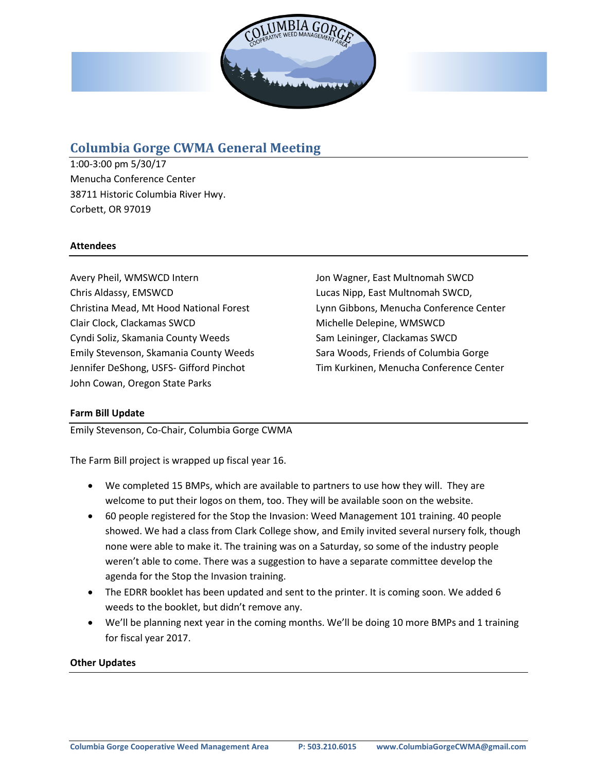

# **Columbia Gorge CWMA General Meeting**

1:00-3:00 pm 5/30/17 Menucha Conference Center 38711 Historic Columbia River Hwy. Corbett, OR 97019

### **Attendees**

Avery Pheil, WMSWCD Intern Chris Aldassy, EMSWCD Christina Mead, Mt Hood National Forest Clair Clock, Clackamas SWCD Cyndi Soliz, Skamania County Weeds Emily Stevenson, Skamania County Weeds Jennifer DeShong, USFS- Gifford Pinchot John Cowan, Oregon State Parks

Jon Wagner, East Multnomah SWCD Lucas Nipp, East Multnomah SWCD, Lynn Gibbons, Menucha Conference Center Michelle Delepine, WMSWCD Sam Leininger, Clackamas SWCD Sara Woods, Friends of Columbia Gorge Tim Kurkinen, Menucha Conference Center

## **Farm Bill Update**

Emily Stevenson, Co-Chair, Columbia Gorge CWMA

The Farm Bill project is wrapped up fiscal year 16.

- We completed 15 BMPs, which are available to partners to use how they will. They are welcome to put their logos on them, too. They will be available soon on the website.
- 60 people registered for the Stop the Invasion: Weed Management 101 training. 40 people showed. We had a class from Clark College show, and Emily invited several nursery folk, though none were able to make it. The training was on a Saturday, so some of the industry people weren't able to come. There was a suggestion to have a separate committee develop the agenda for the Stop the Invasion training.
- The EDRR booklet has been updated and sent to the printer. It is coming soon. We added 6 weeds to the booklet, but didn't remove any.
- We'll be planning next year in the coming months. We'll be doing 10 more BMPs and 1 training for fiscal year 2017.

#### **Other Updates**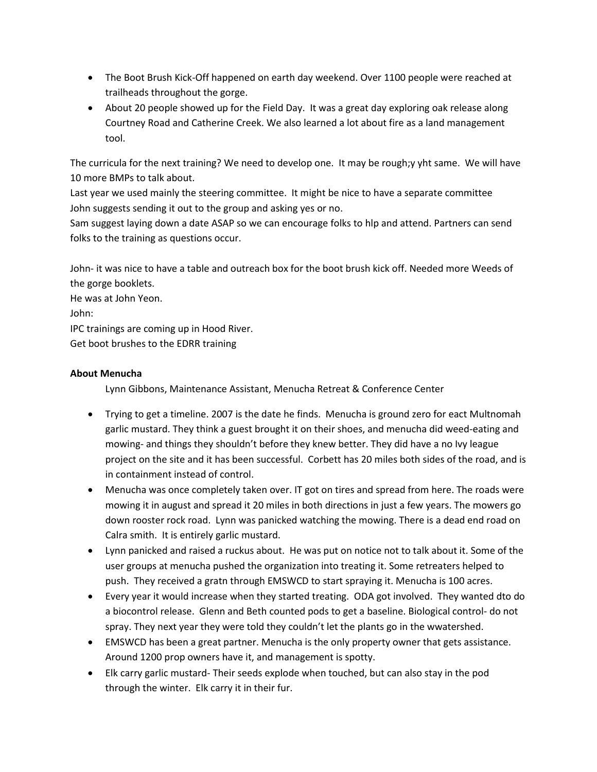- The Boot Brush Kick-Off happened on earth day weekend. Over 1100 people were reached at trailheads throughout the gorge.
- About 20 people showed up for the Field Day. It was a great day exploring oak release along Courtney Road and Catherine Creek. We also learned a lot about fire as a land management tool.

The curricula for the next training? We need to develop one. It may be rough;y yht same. We will have 10 more BMPs to talk about.

Last year we used mainly the steering committee. It might be nice to have a separate committee John suggests sending it out to the group and asking yes or no.

Sam suggest laying down a date ASAP so we can encourage folks to hlp and attend. Partners can send folks to the training as questions occur.

John- it was nice to have a table and outreach box for the boot brush kick off. Needed more Weeds of the gorge booklets.

He was at John Yeon.

John:

IPC trainings are coming up in Hood River.

Get boot brushes to the EDRR training

# **About Menucha**

Lynn Gibbons, Maintenance Assistant, Menucha Retreat & Conference Center

- Trying to get a timeline. 2007 is the date he finds. Menucha is ground zero for eact Multnomah garlic mustard. They think a guest brought it on their shoes, and menucha did weed-eating and mowing- and things they shouldn't before they knew better. They did have a no Ivy league project on the site and it has been successful. Corbett has 20 miles both sides of the road, and is in containment instead of control.
- Menucha was once completely taken over. IT got on tires and spread from here. The roads were mowing it in august and spread it 20 miles in both directions in just a few years. The mowers go down rooster rock road. Lynn was panicked watching the mowing. There is a dead end road on Calra smith. It is entirely garlic mustard.
- Lynn panicked and raised a ruckus about. He was put on notice not to talk about it. Some of the user groups at menucha pushed the organization into treating it. Some retreaters helped to push. They received a gratn through EMSWCD to start spraying it. Menucha is 100 acres.
- Every year it would increase when they started treating. ODA got involved. They wanted dto do a biocontrol release. Glenn and Beth counted pods to get a baseline. Biological control- do not spray. They next year they were told they couldn't let the plants go in the wwatershed.
- EMSWCD has been a great partner. Menucha is the only property owner that gets assistance. Around 1200 prop owners have it, and management is spotty.
- Elk carry garlic mustard- Their seeds explode when touched, but can also stay in the pod through the winter. Elk carry it in their fur.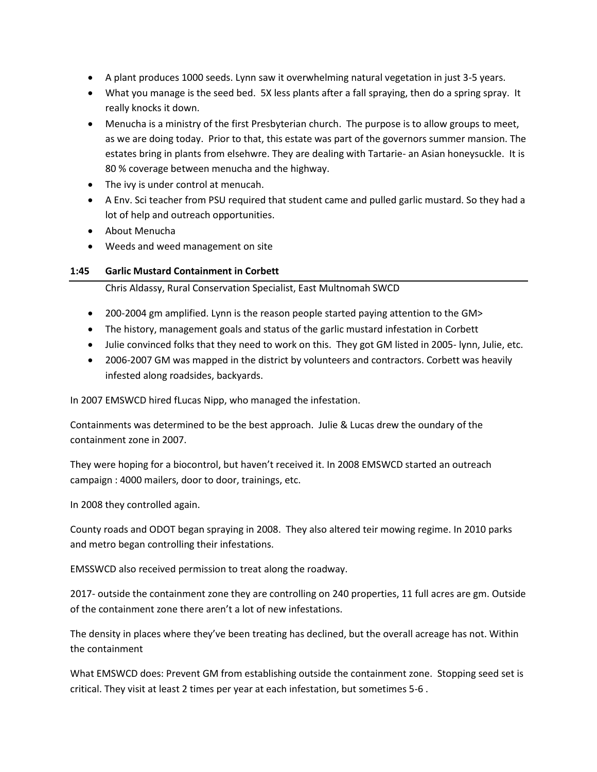- A plant produces 1000 seeds. Lynn saw it overwhelming natural vegetation in just 3-5 years.
- What you manage is the seed bed. 5X less plants after a fall spraying, then do a spring spray. It really knocks it down.
- Menucha is a ministry of the first Presbyterian church. The purpose is to allow groups to meet, as we are doing today. Prior to that, this estate was part of the governors summer mansion. The estates bring in plants from elsehwre. They are dealing with Tartarie- an Asian honeysuckle. It is 80 % coverage between menucha and the highway.
- The ivy is under control at menucah.
- A Env. Sci teacher from PSU required that student came and pulled garlic mustard. So they had a lot of help and outreach opportunities.
- About Menucha
- Weeds and weed management on site

#### **1:45 Garlic Mustard Containment in Corbett**

Chris Aldassy, Rural Conservation Specialist, East Multnomah SWCD

- 200-2004 gm amplified. Lynn is the reason people started paying attention to the GM>
- The history, management goals and status of the garlic mustard infestation in Corbett
- Julie convinced folks that they need to work on this. They got GM listed in 2005- lynn, Julie, etc.
- 2006-2007 GM was mapped in the district by volunteers and contractors. Corbett was heavily infested along roadsides, backyards.

In 2007 EMSWCD hired fLucas Nipp, who managed the infestation.

Containments was determined to be the best approach. Julie & Lucas drew the oundary of the containment zone in 2007.

They were hoping for a biocontrol, but haven't received it. In 2008 EMSWCD started an outreach campaign : 4000 mailers, door to door, trainings, etc.

In 2008 they controlled again.

County roads and ODOT began spraying in 2008. They also altered teir mowing regime. In 2010 parks and metro began controlling their infestations.

EMSSWCD also received permission to treat along the roadway.

2017- outside the containment zone they are controlling on 240 properties, 11 full acres are gm. Outside of the containment zone there aren't a lot of new infestations.

The density in places where they've been treating has declined, but the overall acreage has not. Within the containment

What EMSWCD does: Prevent GM from establishing outside the containment zone. Stopping seed set is critical. They visit at least 2 times per year at each infestation, but sometimes 5-6 .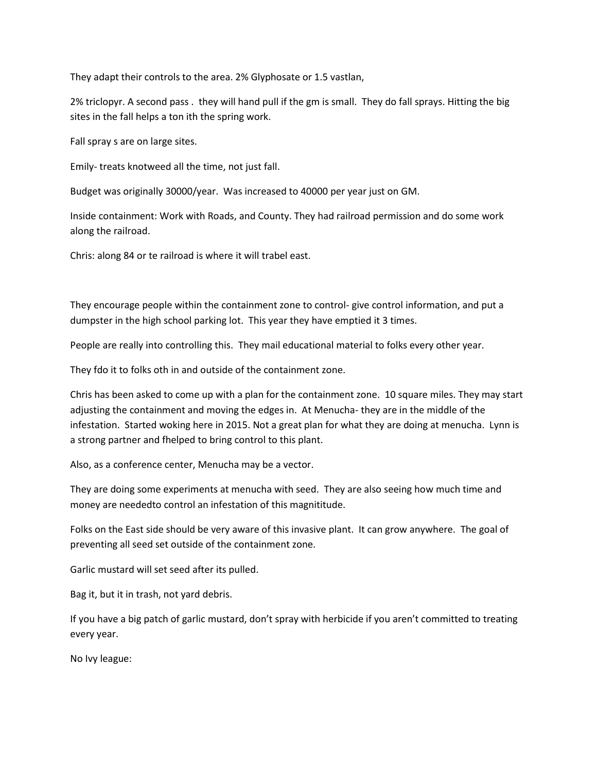They adapt their controls to the area. 2% Glyphosate or 1.5 vastlan,

2% triclopyr. A second pass . they will hand pull if the gm is small. They do fall sprays. Hitting the big sites in the fall helps a ton ith the spring work.

Fall spray s are on large sites.

Emily- treats knotweed all the time, not just fall.

Budget was originally 30000/year. Was increased to 40000 per year just on GM.

Inside containment: Work with Roads, and County. They had railroad permission and do some work along the railroad.

Chris: along 84 or te railroad is where it will trabel east.

They encourage people within the containment zone to control- give control information, and put a dumpster in the high school parking lot. This year they have emptied it 3 times.

People are really into controlling this. They mail educational material to folks every other year.

They fdo it to folks oth in and outside of the containment zone.

Chris has been asked to come up with a plan for the containment zone. 10 square miles. They may start adjusting the containment and moving the edges in. At Menucha- they are in the middle of the infestation. Started woking here in 2015. Not a great plan for what they are doing at menucha. Lynn is a strong partner and fhelped to bring control to this plant.

Also, as a conference center, Menucha may be a vector.

They are doing some experiments at menucha with seed. They are also seeing how much time and money are neededto control an infestation of this magnititude.

Folks on the East side should be very aware of this invasive plant. It can grow anywhere. The goal of preventing all seed set outside of the containment zone.

Garlic mustard will set seed after its pulled.

Bag it, but it in trash, not yard debris.

If you have a big patch of garlic mustard, don't spray with herbicide if you aren't committed to treating every year.

No Ivy league: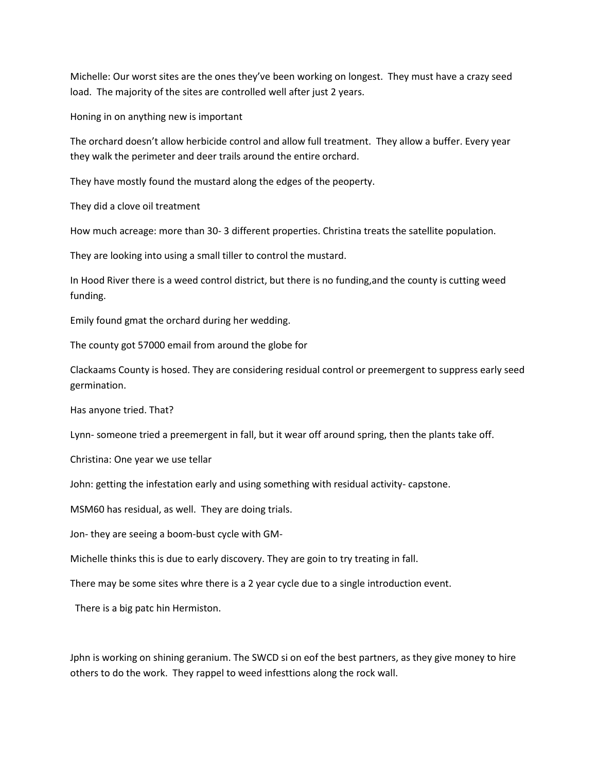Michelle: Our worst sites are the ones they've been working on longest. They must have a crazy seed load. The majority of the sites are controlled well after just 2 years.

Honing in on anything new is important

The orchard doesn't allow herbicide control and allow full treatment. They allow a buffer. Every year they walk the perimeter and deer trails around the entire orchard.

They have mostly found the mustard along the edges of the peoperty.

They did a clove oil treatment

How much acreage: more than 30- 3 different properties. Christina treats the satellite population.

They are looking into using a small tiller to control the mustard.

In Hood River there is a weed control district, but there is no funding,and the county is cutting weed funding.

Emily found gmat the orchard during her wedding.

The county got 57000 email from around the globe for

Clackaams County is hosed. They are considering residual control or preemergent to suppress early seed germination.

Has anyone tried. That?

Lynn- someone tried a preemergent in fall, but it wear off around spring, then the plants take off.

Christina: One year we use tellar

John: getting the infestation early and using something with residual activity- capstone.

MSM60 has residual, as well. They are doing trials.

Jon- they are seeing a boom-bust cycle with GM-

Michelle thinks this is due to early discovery. They are goin to try treating in fall.

There may be some sites whre there is a 2 year cycle due to a single introduction event.

There is a big patc hin Hermiston.

Jphn is working on shining geranium. The SWCD si on eof the best partners, as they give money to hire others to do the work. They rappel to weed infesttions along the rock wall.